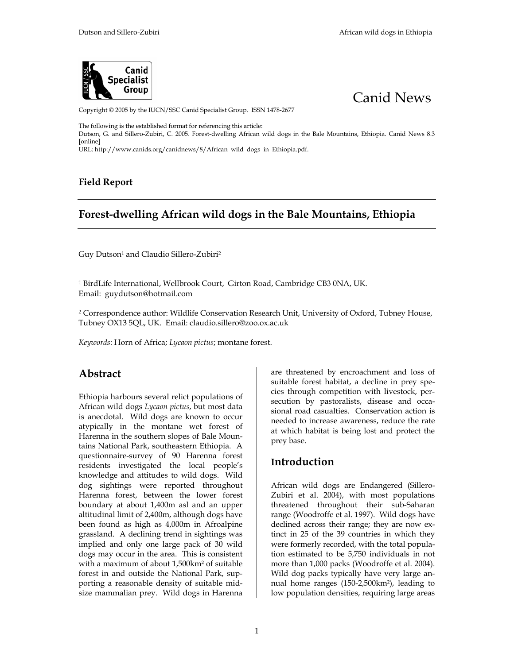



Copyright © 2005 by the IUCN/SSC Canid Specialist Group. ISSN 1478-2677

The following is the established format for referencing this article:

Dutson, G. and Sillero-Zubiri, C. 2005. Forest-dwelling African wild dogs in the Bale Mountains, Ethiopia. Canid News 8.3 [online]

URL: http://www.canids.org/canidnews/8/African\_wild\_dogs\_in\_Ethiopia.pdf.

#### **Field Report**

# **Forest-dwelling African wild dogs in the Bale Mountains, Ethiopia**

Guy Dutson<sup>1</sup> and Claudio Sillero-Zubiri<sup>2</sup>

<sup>1</sup> BirdLife International, Wellbrook Court, Girton Road, Cambridge CB3 0NA, UK. Email: guydutson@hotmail.com

2 Correspondence author: Wildlife Conservation Research Unit, University of Oxford, Tubney House, Tubney OX13 5QL, UK. Email: claudio.sillero@zoo.ox.ac.uk

*Keywords*: Horn of Africa; *Lycaon pictus*; montane forest.

### **Abstract**

Ethiopia harbours several relict populations of African wild dogs *Lycaon pictus*, but most data is anecdotal. Wild dogs are known to occur atypically in the montane wet forest of Harenna in the southern slopes of Bale Mountains National Park, southeastern Ethiopia. A questionnaire-survey of 90 Harenna forest residents investigated the local people's knowledge and attitudes to wild dogs. Wild dog sightings were reported throughout Harenna forest, between the lower forest boundary at about 1,400m asl and an upper altitudinal limit of 2,400m, although dogs have been found as high as 4,000m in Afroalpine grassland. A declining trend in sightings was implied and only one large pack of 30 wild dogs may occur in the area. This is consistent with a maximum of about 1,500km² of suitable forest in and outside the National Park, supporting a reasonable density of suitable midsize mammalian prey. Wild dogs in Harenna

are threatened by encroachment and loss of suitable forest habitat, a decline in prey species through competition with livestock, persecution by pastoralists, disease and occasional road casualties. Conservation action is needed to increase awareness, reduce the rate at which habitat is being lost and protect the prey base.

### **Introduction**

African wild dogs are Endangered (Sillero-Zubiri et al. 2004), with most populations threatened throughout their sub-Saharan range (Woodroffe et al. 1997). Wild dogs have declined across their range; they are now extinct in 25 of the 39 countries in which they were formerly recorded, with the total population estimated to be 5,750 individuals in not more than 1,000 packs (Woodroffe et al. 2004). Wild dog packs typically have very large annual home ranges (150-2,500km²), leading to low population densities, requiring large areas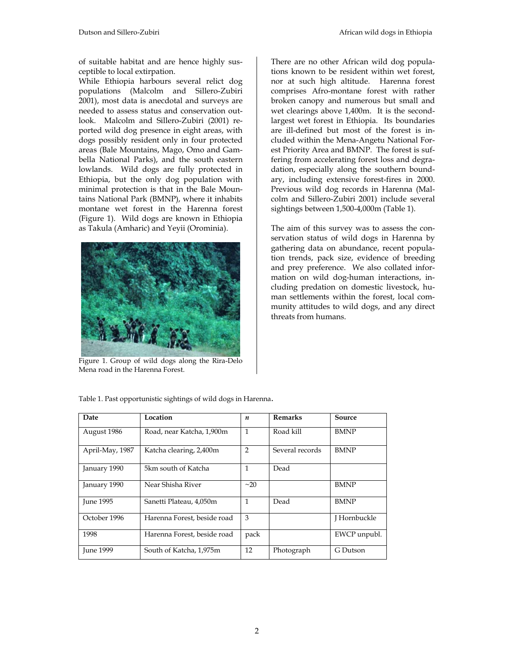of suitable habitat and are hence highly susceptible to local extirpation.

While Ethiopia harbours several relict dog populations (Malcolm and Sillero-Zubiri 2001), most data is anecdotal and surveys are needed to assess status and conservation outlook. Malcolm and Sillero-Zubiri (2001) reported wild dog presence in eight areas, with dogs possibly resident only in four protected areas (Bale Mountains, Mago, Omo and Gambella National Parks), and the south eastern lowlands. Wild dogs are fully protected in Ethiopia, but the only dog population with minimal protection is that in the Bale Mountains National Park (BMNP), where it inhabits montane wet forest in the Harenna forest (Figure 1). Wild dogs are known in Ethiopia as Takula (Amharic) and Yeyii (Orominia).



Figure 1. Group of wild dogs along the Rira-Delo Mena road in the Harenna Forest.

There are no other African wild dog populations known to be resident within wet forest, nor at such high altitude. Harenna forest comprises Afro-montane forest with rather broken canopy and numerous but small and wet clearings above 1,400m. It is the secondlargest wet forest in Ethiopia. Its boundaries are ill-defined but most of the forest is included within the Mena-Angetu National Forest Priority Area and BMNP. The forest is suffering from accelerating forest loss and degradation, especially along the southern boundary, including extensive forest-fires in 2000. Previous wild dog records in Harenna (Malcolm and Sillero-Zubiri 2001) include several sightings between 1,500-4,000m (Table 1).

The aim of this survey was to assess the conservation status of wild dogs in Harenna by gathering data on abundance, recent population trends, pack size, evidence of breeding and prey preference. We also collated information on wild dog-human interactions, including predation on domestic livestock, human settlements within the forest, local community attitudes to wild dogs, and any direct threats from humans.

| Date             | Location                    | $\boldsymbol{n}$ | <b>Remarks</b>  | Source       |
|------------------|-----------------------------|------------------|-----------------|--------------|
| August 1986      | Road, near Katcha, 1,900m   | $\mathbf{1}$     | Road kill       | <b>BMNP</b>  |
| April-May, 1987  | Katcha clearing, 2,400m     | 2                | Several records | <b>BMNP</b>  |
| January 1990     | 5km south of Katcha         | 1                | Dead            |              |
| January 1990     | Near Shisha River           | $\sim$ 20        |                 | <b>BMNP</b>  |
| <b>Iune 1995</b> | Sanetti Plateau, 4,050m     | 1                | Dead            | <b>BMNP</b>  |
| October 1996     | Harenna Forest, beside road | 3                |                 | J Hornbuckle |
| 1998             | Harenna Forest, beside road | pack             |                 | EWCP unpubl. |
| <b>Iune 1999</b> | South of Katcha, 1,975m     | 12               | Photograph      | G Dutson     |

Table 1. Past opportunistic sightings of wild dogs in Harenna.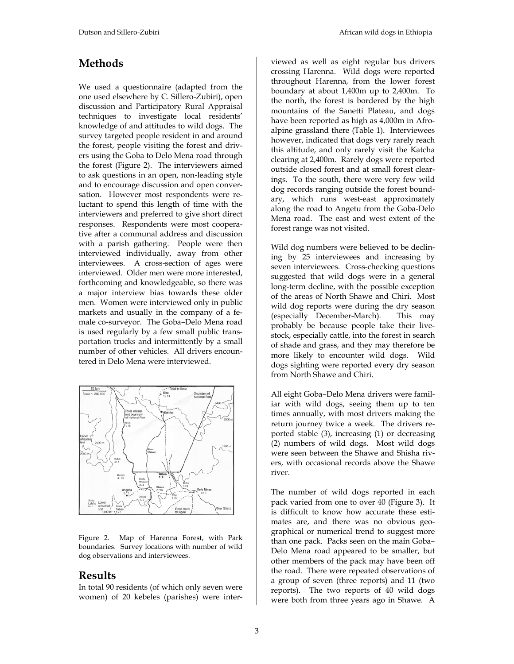# **Methods**

We used a questionnaire (adapted from the one used elsewhere by C. Sillero-Zubiri), open discussion and Participatory Rural Appraisal techniques to investigate local residents' knowledge of and attitudes to wild dogs. The survey targeted people resident in and around the forest, people visiting the forest and drivers using the Goba to Delo Mena road through the forest (Figure 2). The interviewers aimed to ask questions in an open, non-leading style and to encourage discussion and open conversation. However most respondents were reluctant to spend this length of time with the interviewers and preferred to give short direct responses. Respondents were most cooperative after a communal address and discussion with a parish gathering. People were then interviewed individually, away from other interviewees. A cross-section of ages were interviewed. Older men were more interested, forthcoming and knowledgeable, so there was a major interview bias towards these older men. Women were interviewed only in public markets and usually in the company of a female co-surveyor. The Goba–Delo Mena road is used regularly by a few small public transportation trucks and intermittently by a small number of other vehicles. All drivers encountered in Delo Mena were interviewed.



Figure 2. Map of Harenna Forest, with Park boundaries. Survey locations with number of wild dog observations and interviewees.

# **Results**

In total 90 residents (of which only seven were women) of 20 kebeles (parishes) were interviewed as well as eight regular bus drivers crossing Harenna. Wild dogs were reported throughout Harenna, from the lower forest boundary at about 1,400m up to 2,400m. To the north, the forest is bordered by the high mountains of the Sanetti Plateau, and dogs have been reported as high as 4,000m in Afroalpine grassland there (Table 1). Interviewees however, indicated that dogs very rarely reach this altitude, and only rarely visit the Katcha clearing at 2,400m. Rarely dogs were reported outside closed forest and at small forest clearings. To the south, there were very few wild dog records ranging outside the forest boundary, which runs west-east approximately along the road to Angetu from the Goba-Delo Mena road. The east and west extent of the forest range was not visited.

Wild dog numbers were believed to be declining by 25 interviewees and increasing by seven interviewees. Cross-checking questions suggested that wild dogs were in a general long-term decline, with the possible exception of the areas of North Shawe and Chiri. Most wild dog reports were during the dry season (especially December-March). This may probably be because people take their livestock, especially cattle, into the forest in search of shade and grass, and they may therefore be more likely to encounter wild dogs. Wild dogs sighting were reported every dry season from North Shawe and Chiri.

All eight Goba–Delo Mena drivers were familiar with wild dogs, seeing them up to ten times annually, with most drivers making the return journey twice a week. The drivers reported stable (3), increasing (1) or decreasing (2) numbers of wild dogs. Most wild dogs were seen between the Shawe and Shisha rivers, with occasional records above the Shawe river.

The number of wild dogs reported in each pack varied from one to over 40 (Figure 3). It is difficult to know how accurate these estimates are, and there was no obvious geographical or numerical trend to suggest more than one pack. Packs seen on the main Goba– Delo Mena road appeared to be smaller, but other members of the pack may have been off the road. There were repeated observations of a group of seven (three reports) and 11 (two reports). The two reports of 40 wild dogs were both from three years ago in Shawe. A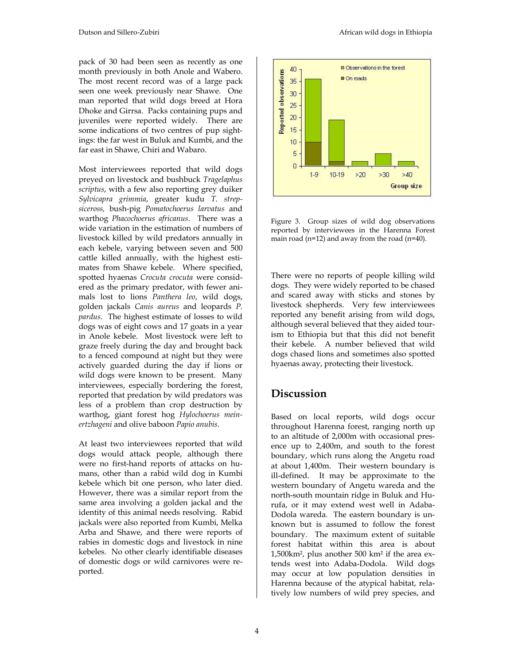pack of 30 had been seen as recently as one month previously in both Anole and Wabero. The most recent record was of a large pack seen one week previously near Shawe. One man reported that wild dogs breed at Hora Dhoke and Girrsa. Packs containing pups and juveniles were reported widely. There are some indications of two centres of pup sightings: the far west in Buluk and Kumbi, and the far east in Shawe, Chiri and Wabaro.

Most interviewees reported that wild dogs preyed on livestock and bushbuck *Tragelaphus scriptus*, with a few also reporting grey duiker *Sylvicapra grimmia*, greater kudu *T. strepsiceross,* bush-pig *Pomatochoerus larvatus* and warthog *Phacochoerus africanus*. There was a wide variation in the estimation of numbers of livestock killed by wild predators annually in each kebele, varying between seven and 500 cattle killed annually, with the highest estimates from Shawe kebele. Where specified, spotted hyaenas *Crocuta crocuta* were considered as the primary predator, with fewer animals lost to lions *Panthera leo*, wild dogs, golden jackals *Canis aureus* and leopards *P. pardus*. The highest estimate of losses to wild dogs was of eight cows and 17 goats in a year in Anole kebele. Most livestock were left to graze freely during the day and brought back to a fenced compound at night but they were actively guarded during the day if lions or wild dogs were known to be present. Many interviewees, especially bordering the forest, reported that predation by wild predators was less of a problem than crop destruction by warthog, giant forest hog *Hylochoerus meinertzhageni* and olive baboon *Papio anubis*.

At least two interviewees reported that wild dogs would attack people, although there were no first-hand reports of attacks on humans, other than a rabid wild dog in Kumbi kebele which bit one person, who later died. However, there was a similar report from the same area involving a golden jackal and the identity of this animal needs resolving. Rabid jackals were also reported from Kumbi, Melka Arba and Shawe, and there were reports of rabies in domestic dogs and livestock in nine kebeles. No other clearly identifiable diseases of domestic dogs or wild carnivores were reported.



Figure 3. Group sizes of wild dog observations reported by interviewees in the Harenna Forest main road (n=12) and away from the road (n=40).

There were no reports of people killing wild dogs. They were widely reported to be chased and scared away with sticks and stones by livestock shepherds. Very few interviewees reported any benefit arising from wild dogs, although several believed that they aided tourism to Ethiopia but that this did not benefit their kebele. A number believed that wild dogs chased lions and sometimes also spotted hyaenas away, protecting their livestock.

### **Discussion**

Based on local reports, wild dogs occur throughout Harenna forest, ranging north up to an altitude of 2,000m with occasional presence up to 2,400m, and south to the forest boundary, which runs along the Angetu road at about 1,400m. Their western boundary is ill-defined. It may be approximate to the western boundary of Angetu wareda and the north-south mountain ridge in Buluk and Hurufa, or it may extend west well in Adaba-Dodola wareda. The eastern boundary is unknown but is assumed to follow the forest boundary. The maximum extent of suitable forest habitat within this area is about 1,500km², plus another 500 km² if the area extends west into Adaba-Dodola. Wild dogs may occur at low population densities in Harenna because of the atypical habitat, relatively low numbers of wild prey species, and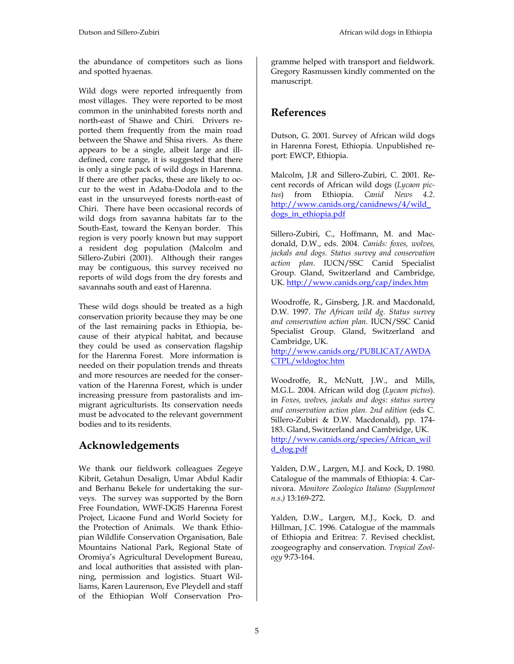the abundance of competitors such as lions and spotted hyaenas.

Wild dogs were reported infrequently from most villages. They were reported to be most common in the uninhabited forests north and north-east of Shawe and Chiri. Drivers reported them frequently from the main road between the Shawe and Shisa rivers. As there appears to be a single, albeit large and illdefined, core range, it is suggested that there is only a single pack of wild dogs in Harenna. If there are other packs, these are likely to occur to the west in Adaba-Dodola and to the east in the unsurveyed forests north-east of Chiri. There have been occasional records of wild dogs from savanna habitats far to the South-East, toward the Kenyan border. This region is very poorly known but may support a resident dog population (Malcolm and Sillero-Zubiri (2001). Although their ranges may be contiguous, this survey received no reports of wild dogs from the dry forests and savannahs south and east of Harenna.

These wild dogs should be treated as a high conservation priority because they may be one of the last remaining packs in Ethiopia, because of their atypical habitat, and because they could be used as conservation flagship for the Harenna Forest. More information is needed on their population trends and threats and more resources are needed for the conservation of the Harenna Forest, which is under increasing pressure from pastoralists and immigrant agriculturists. Its conservation needs must be advocated to the relevant government bodies and to its residents.

# **Acknowledgements**

We thank our fieldwork colleagues Zegeye Kibrit, Getahun Desalign, Umar Abdul Kadir and Berhanu Bekele for undertaking the surveys. The survey was supported by the Born Free Foundation, WWF-DGIS Harenna Forest Project, Licaone Fund and World Society for the Protection of Animals. We thank Ethiopian Wildlife Conservation Organisation, Bale Mountains National Park, Regional State of Oromiya's Agricultural Development Bureau, and local authorities that assisted with planning, permission and logistics. Stuart Williams, Karen Laurenson, Eve Pleydell and staff of the Ethiopian Wolf Conservation Programme helped with transport and fieldwork. Gregory Rasmussen kindly commented on the manuscript.

# **References**

Dutson, G. 2001. Survey of African wild dogs in Harenna Forest, Ethiopia. Unpublished report: EWCP, Ethiopia.

Malcolm, J.R and Sillero-Zubiri, C. 2001. Recent records of African wild dogs (*Lycaon pictus*) from Ethiopia. *Canid News 4.2*. http://www.canids.org/canidnews/4/wild\_ dogs\_in\_ethiopia.pdf

Sillero-Zubiri, C., Hoffmann, M. and Macdonald, D.W., eds. 2004. *Canids: foxes, wolves, jackals and dogs. Status survey and conservation action plan*. IUCN/SSC Canid Specialist Group. Gland, Switzerland and Cambridge, UK. http://www.canids.org/cap/index.htm

Woodroffe, R., Ginsberg, J.R. and Macdonald, D.W. 1997. *The African wild dg. Status survey and conservation action plan.* IUCN/SSC Canid Specialist Group. Gland, Switzerland and Cambridge, UK.

http://www.canids.org/PUBLICAT/AWDA CTPL/wldogtoc.htm

Woodroffe, R., McNutt, J.W., and Mills, M.G.L. 2004. African wild dog (*Lycaon pictus*). in *Foxes, wolves, jackals and dogs: status survey and conservation action plan. 2nd edition* (eds C. Sillero-Zubiri & D.W. Macdonald), pp. 174- 183. Gland, Switzerland and Cambridge, UK. http://www.canids.org/species/African\_wil d\_dog.pdf

Yalden, D.W., Largen, M.J. and Kock, D. 1980. Catalogue of the mammals of Ethiopia: 4. Carnivora. *Monitore Zoologico Italiano (Supplement n.s.)* 13:169-272.

Yalden, D.W., Largen, M.J., Kock, D. and Hillman, J.C. 1996. Catalogue of the mammals of Ethiopia and Eritrea: 7. Revised checklist, zoogeography and conservation. *Tropical Zoology* 9:73-164.